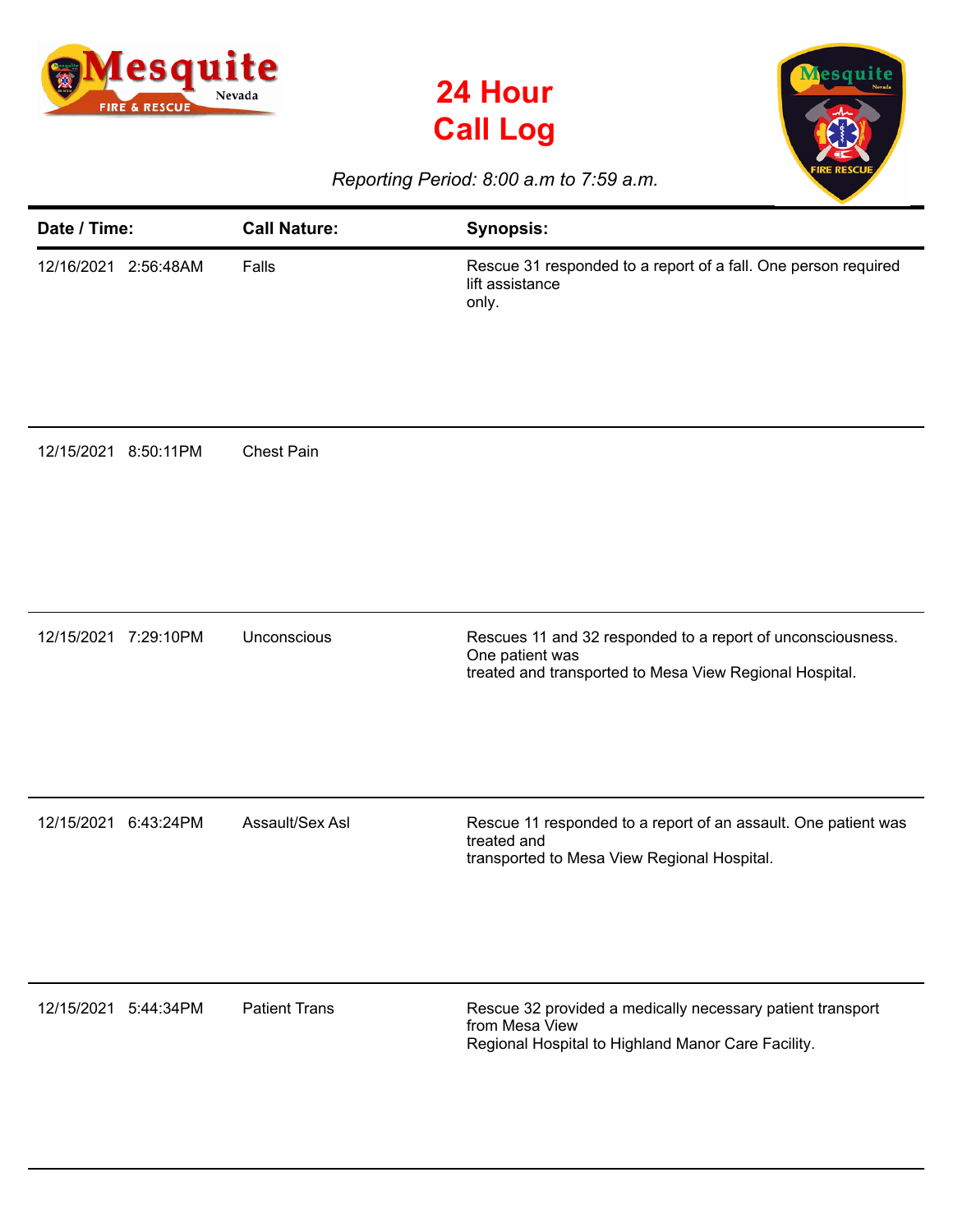





## *Reporting Period: 8:00 a.m to 7:59 a.m.*

| Date / Time:            | <b>Call Nature:</b>  | <b>Synopsis:</b>                                                                                                                          |
|-------------------------|----------------------|-------------------------------------------------------------------------------------------------------------------------------------------|
| 12/16/2021<br>2:56:48AM | Falls                | Rescue 31 responded to a report of a fall. One person required<br>lift assistance<br>only.                                                |
| 12/15/2021<br>8:50:11PM | <b>Chest Pain</b>    |                                                                                                                                           |
| 12/15/2021 7:29:10PM    | Unconscious          | Rescues 11 and 32 responded to a report of unconsciousness.<br>One patient was<br>treated and transported to Mesa View Regional Hospital. |
| 12/15/2021<br>6:43:24PM | Assault/Sex Asl      | Rescue 11 responded to a report of an assault. One patient was<br>treated and<br>transported to Mesa View Regional Hospital.              |
| 12/15/2021<br>5:44:34PM | <b>Patient Trans</b> | Rescue 32 provided a medically necessary patient transport<br>from Mesa View<br>Regional Hospital to Highland Manor Care Facility.        |